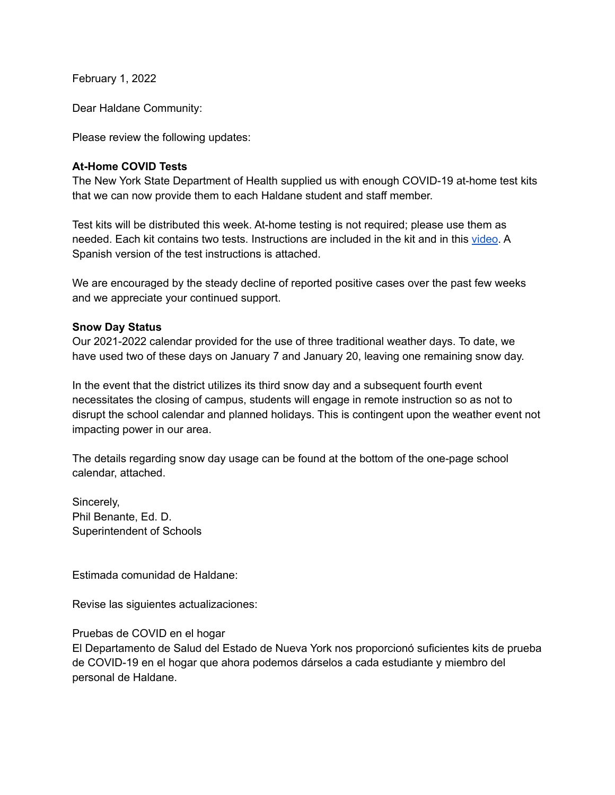February 1, 2022

Dear Haldane Community:

Please review the following updates:

### **At-Home COVID Tests**

The New York State Department of Health supplied us with enough COVID-19 at-home test kits that we can now provide them to each Haldane student and staff member.

Test kits will be distributed this week. At-home testing is not required; please use them as needed. Each kit contains two tests. Instructions are included in the kit and in this [video](https://www.youtube.com/watch?v=hJQ1PSwAXng). A Spanish version of the test instructions is attached.

We are encouraged by the steady decline of reported positive cases over the past few weeks and we appreciate your continued support.

### **Snow Day Status**

Our 2021-2022 calendar provided for the use of three traditional weather days. To date, we have used two of these days on January 7 and January 20, leaving one remaining snow day.

In the event that the district utilizes its third snow day and a subsequent fourth event necessitates the closing of campus, students will engage in remote instruction so as not to disrupt the school calendar and planned holidays. This is contingent upon the weather event not impacting power in our area.

The details regarding snow day usage can be found at the bottom of the one-page school calendar, attached.

Sincerely, Phil Benante, Ed. D. Superintendent of Schools

Estimada comunidad de Haldane:

Revise las siguientes actualizaciones:

Pruebas de COVID en el hogar

El Departamento de Salud del Estado de Nueva York nos proporcionó suficientes kits de prueba de COVID-19 en el hogar que ahora podemos dárselos a cada estudiante y miembro del personal de Haldane.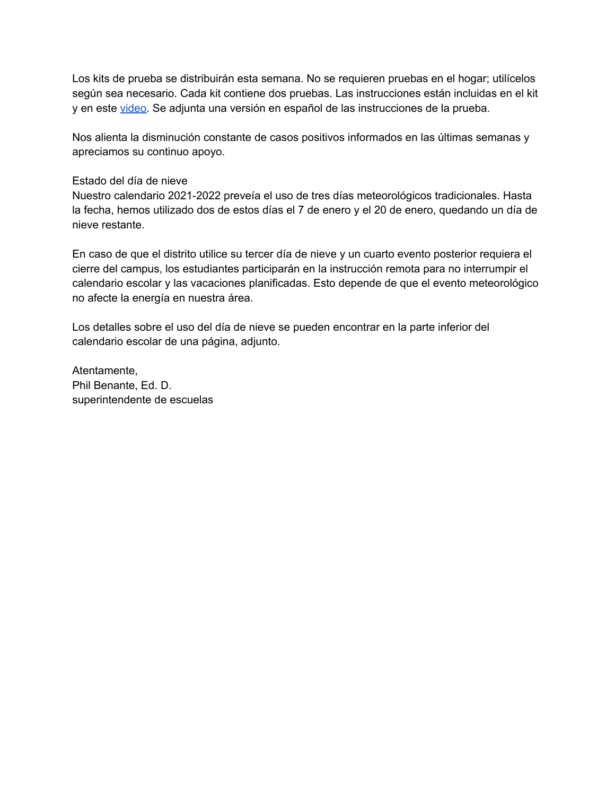Los kits de prueba se distribuirán esta semana. No se requieren pruebas en el hogar; utilícelos según sea necesario. Cada kit contiene dos pruebas. Las instrucciones están incluidas en el kit y en este [video.](http://video) Se adjunta una versión en español de las instrucciones de la prueba.

Nos alienta la disminución constante de casos positivos informados en las últimas semanas y apreciamos su continuo apoyo.

### Estado del día de nieve

Nuestro calendario 2021-2022 preveía el uso de tres días meteorológicos tradicionales. Hasta la fecha, hemos utilizado dos de estos días el 7 de enero y el 20 de enero, quedando un día de nieve restante.

En caso de que el distrito utilice su tercer día de nieve y un cuarto evento posterior requiera el cierre del campus, los estudiantes participarán en la instrucción remota para no interrumpir el calendario escolar y las vacaciones planificadas. Esto depende de que el evento meteorológico no afecte la energía en nuestra área.

Los detalles sobre el uso del día de nieve se pueden encontrar en la parte inferior del calendario escolar de una página, adjunto.

Atentamente, Phil Benante, Ed. D. superintendente de escuelas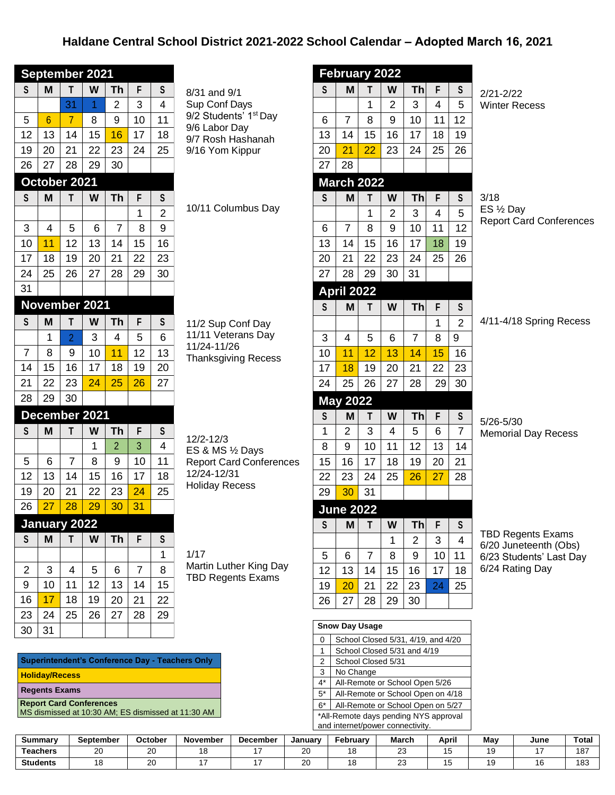## **Haldane Central School District 2021-2022 School Calendar – Adopted March 16, 2021**

|                | September 2021 |                |                 |    |                 |                         |  |  |  |
|----------------|----------------|----------------|-----------------|----|-----------------|-------------------------|--|--|--|
| S              | M              | T              | W               | Th | F               | S                       |  |  |  |
|                |                | 31             | 1               | 2  | 3               | 4                       |  |  |  |
| 5              | $\overline{6}$ | $\overline{7}$ | 8               | 9  | 10              | 11                      |  |  |  |
| 12             | 13             | 14             | 15              | 16 | 17              | 18                      |  |  |  |
| 19             | 20             | 21             | 22              | 23 | 24              | 25                      |  |  |  |
| 26             | 27             | 28             | 29              | 30 |                 |                         |  |  |  |
| October 2021   |                |                |                 |    |                 |                         |  |  |  |
| S              | M              | T              | W               | Th | F               | S                       |  |  |  |
|                |                |                |                 |    | 1               | $\overline{\mathbf{c}}$ |  |  |  |
| 3              | $\overline{4}$ | 5              | 6               | 7  | 8               | 9                       |  |  |  |
| 10             | 11             | 12             | 13              | 14 | 15              | 16                      |  |  |  |
| 17             | 18             | 19             | 20              | 21 | 22              | 23                      |  |  |  |
| 24             | 25             | 26             | 27              | 28 | 29              | 30                      |  |  |  |
| 31             |                |                |                 |    |                 |                         |  |  |  |
|                |                |                | November 2021   |    |                 |                         |  |  |  |
| ${\sf S}$      | M              | T              | W               | Th | F               | S                       |  |  |  |
|                | 1              | $\overline{2}$ | 3               | 4  | 5               | 6                       |  |  |  |
| $\overline{7}$ | 8              | 9              | 10              | 11 | 12              | 13                      |  |  |  |
| 14             | 15             | 16             | 17              | 18 | 19              | 20                      |  |  |  |
| 21             | 22             | 23             | $\overline{24}$ | 25 | 26              | 27                      |  |  |  |
| 28             | 29             | 30             |                 |    |                 |                         |  |  |  |
|                |                |                | December 2021   |    |                 |                         |  |  |  |
|                |                |                |                 |    |                 |                         |  |  |  |
| S              | M              | T              | W               | Th | F               | S                       |  |  |  |
|                |                |                | 1               | 2  | 3               | 4                       |  |  |  |
| 5              | 6              | 7              | 8               | 9  | 10              | 11                      |  |  |  |
| 12             | 13             | 14             | 15              | 16 | 17              | 18                      |  |  |  |
| 19             | 20             | 21             | 22              | 23 | 24              | 25                      |  |  |  |
| 26             | 27             | 28             | 29              | 30 | $\overline{31}$ |                         |  |  |  |
|                | January 2022   |                |                 |    |                 |                         |  |  |  |
| S              | M              | т              | W               | Τh | F               | S                       |  |  |  |
|                |                |                |                 |    |                 | 1                       |  |  |  |
| $\overline{c}$ | 3              | 4              | 5               | 6  | 7               | 8                       |  |  |  |
| 9              | 10             | 11             | 12              | 13 | 14              | 15                      |  |  |  |
| 16             | 17             | 18             | 19              | 20 | 21              | 22                      |  |  |  |
| 23             | 24             | 25             | 26              | 27 | 28              | 29                      |  |  |  |

| Superintendent's Conference Day - Teachers Only    |
|----------------------------------------------------|
| <b>Holiday/Recess</b>                              |
| <b>Regents Exams</b>                               |
| <b>Report Card Conferences</b>                     |
| MS dismissed at 10:30 AM; ES dismissed at 11:30 AM |

8/31 and 9/1 Sup Conf Days 9/2 Students' 1<sup>st</sup> Day 9/6 Labor Day 9/7 Rosh Hashanah 9/16 Yom Kippur

10/11 Columbus Day

| 11/2 Sup Conf Day   |
|---------------------|
| 11/11 Veterans Day  |
| 11/24-11/26         |
| Thanksgiving Recess |

12/2-12/3 ES & MS ½ Days Report Card Conferences 12/24-12/31 Holiday Recess

1/17 Martin Luther King Day TBD Regents Exams

|                 | February 2022     |                 |                |                |             |                 |           |
|-----------------|-------------------|-----------------|----------------|----------------|-------------|-----------------|-----------|
| S               | M                 | T               | W              | Th             | F           | S               | 2/2       |
|                 |                   | 1               | 2              | 3              | 4           | 5               | Wi        |
| 6               | 7                 | 8               | 9              | 10             | 11          | 12              |           |
| 13              | 14                | 15              | 16             | 17             | 18          | 19              |           |
| <b>20</b>       | 21                | $\overline{22}$ | 23             | 24             | 25          | 26              |           |
| 27              | 28                |                 |                |                |             |                 |           |
|                 | <b>March 2022</b> |                 |                |                |             |                 |           |
| S               | M                 | Τ               | W              | Th             | F           | S               | 3/1       |
|                 |                   | 1               | $\overline{2}$ | 3              | 4           | 5               | ES        |
| 6               | 7                 | 8               | 9              | 10             | 11          | 12              | Re        |
| 13              | 14                | 15              | 16             | 17             | 18          | 19              |           |
| 20              | 21                | 22              | 23             | 24             | 25          | 26              |           |
| 27              | 28                | 29              | 30             | 31             |             |                 |           |
|                 | <b>April 2022</b> |                 |                |                |             |                 |           |
| S               | M                 | T               | W              | <b>Th</b>      | F           | S               |           |
|                 |                   |                 |                |                | $\mathbf 1$ | $\overline{2}$  | 4/1       |
| 3               | 4                 | 5               | 6              | $\overline{7}$ | 8           | 9               |           |
| 10              | 11                | $\overline{12}$ | 13             | 14             | 15          | 16              |           |
| $\overline{17}$ | 18                | 19              | 20             | 21             | 22          | 23              |           |
| 24              | 25                | 26              | 27             | 28             | 29          | 30              |           |
|                 | <b>May 2022</b>   |                 |                |                |             |                 |           |
| ${\sf S}$       | M                 | T               | W              | <b>Th</b>      | F           | S               | 5/2       |
| $\mathbf 1$     | $\overline{c}$    | 3               | 4              | 5              | 6           | $\overline{7}$  | Me        |
| 8               | 9                 | 10              | 11             | 12             | 13          | 14              |           |
| 15              | 16                | 17              | 18             | 19             | 20          | $\overline{21}$ |           |
| 22              | 23                | 24              | 25             | 26             | 27          | 28              |           |
| 29              | 30                | 31              |                |                |             |                 |           |
|                 | <b>June 2022</b>  |                 |                |                |             |                 |           |
| S               | M                 | Τ               | W              | Th             | F           | S               |           |
|                 |                   |                 | 1              | $\overline{c}$ | 3           | 4               | ΤB<br>6/2 |
| 5               | 6                 | 7               | 8              | 9              | 10          | 11              | 6/2       |
| 12              | 13                | 14              | 15             | 16             | 17          | 18              | 6/2       |
| 19              | 20                | 21              | 22             | 23             | 24          | 25              |           |
| 26              | 27                | 28              | 29             | 30             |             |                 |           |
|                 |                   |                 |                |                |             |                 |           |

 $21 - 2/22$ nter Recess

3/18  $\frac{1}{2}$  Day port Card Conferences

1-4/18 Spring Recess

5/26-5/30 **morial Day Recess** 

D Regents Exams 6/20 Juneteenth (Obs) 3 Students' Last Day <sup>2</sup>4 Rating Day

| <b>Snow Day Usage</b> |                                       |  |  |  |  |  |
|-----------------------|---------------------------------------|--|--|--|--|--|
| $\Omega$              | School Closed 5/31, 4/19, and 4/20    |  |  |  |  |  |
| 1                     | School Closed 5/31 and 4/19           |  |  |  |  |  |
| $\overline{2}$        | School Closed 5/31                    |  |  |  |  |  |
| 3                     | No Change                             |  |  |  |  |  |
| $4^*$                 | All-Remote or School Open 5/26        |  |  |  |  |  |
| $5^*$                 | All-Remote or School Open on 4/18     |  |  |  |  |  |
| 6*                    | All-Remote or School Open on 5/27     |  |  |  |  |  |
|                       | *All-Remote days pending NYS approval |  |  |  |  |  |
|                       | and internet/power connectivity.      |  |  |  |  |  |

| Summary              | September | October     | November | December | January      | February | <b>March</b> | April | Mav | June | Total        |
|----------------------|-----------|-------------|----------|----------|--------------|----------|--------------|-------|-----|------|--------------|
| <sup>-</sup> eachers | ົ<br>∠    | $\sim$<br>∼ | . .      |          | $\sim$<br>∠∪ |          | $\sim$<br>-- |       |     |      | 1 O ⊺<br>0۱، |
| <b>Students</b>      |           | nn<br>∼     |          |          | $\sim$<br>∼  |          | $\sim$<br>-- |       |     |      | 183          |